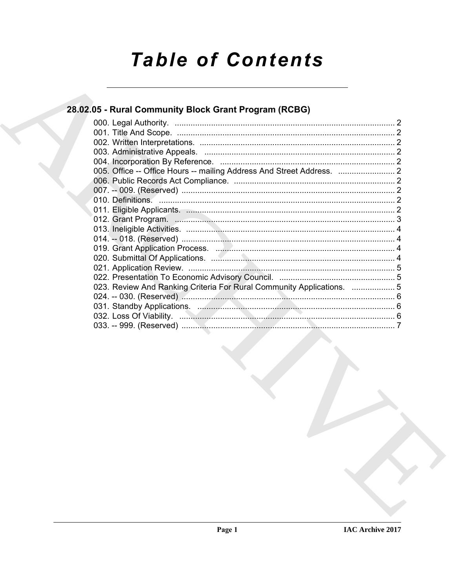# **Table of Contents**

## 28.02.05 - Rural Community Block Grant Program (RCBG)

| 023. Review And Ranking Criteria For Rural Community Applications.  5<br>031. Standby Applications. Manual Manual Manual Manual Manual Manual 6 |  |
|-------------------------------------------------------------------------------------------------------------------------------------------------|--|
|                                                                                                                                                 |  |
|                                                                                                                                                 |  |
|                                                                                                                                                 |  |
|                                                                                                                                                 |  |
|                                                                                                                                                 |  |
|                                                                                                                                                 |  |
|                                                                                                                                                 |  |
|                                                                                                                                                 |  |
|                                                                                                                                                 |  |
|                                                                                                                                                 |  |
|                                                                                                                                                 |  |
|                                                                                                                                                 |  |
|                                                                                                                                                 |  |
|                                                                                                                                                 |  |
|                                                                                                                                                 |  |
|                                                                                                                                                 |  |
|                                                                                                                                                 |  |
|                                                                                                                                                 |  |
|                                                                                                                                                 |  |
|                                                                                                                                                 |  |
|                                                                                                                                                 |  |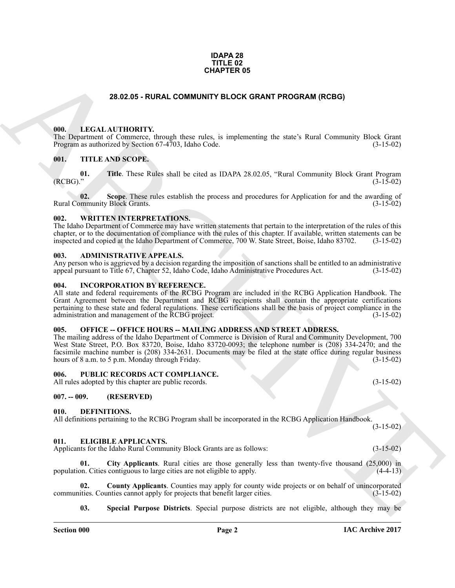#### **IDAPA 28 TITLE 02 CHAPTER 05**

#### **28.02.05 - RURAL COMMUNITY BLOCK GRANT PROGRAM (RCBG)**

#### <span id="page-1-1"></span><span id="page-1-0"></span>**000. LEGAL AUTHORITY.**

The Department of Commerce, through these rules, is implementing the state's Rural Community Block Grant Program as authorized by Section 67-4703, Idaho Code. (3-15-02) Program as authorized by Section 67-4703, Idaho Code.

#### <span id="page-1-2"></span>**001. TITLE AND SCOPE.**

**01.** Title. These Rules shall be cited as IDAPA 28.02.05, "Rural Community Block Grant Program (RCBG)." (3-15-02)  $(RCBG).$ " (3-15-02)

**02.** Scope. These rules establish the process and procedures for Application for and the awarding of mmunity Block Grants. (3-15-02) Rural Community Block Grants.

#### <span id="page-1-3"></span>**002. WRITTEN INTERPRETATIONS.**

The Idaho Department of Commerce may have written statements that pertain to the interpretation of the rules of this chapter, or to the documentation of compliance with the rules of this chapter. If available, written statements can be inspected and copied at the Idaho Department of Commerce, 700 W. State Street, Boise, Idaho 83702. (3-15-02)

#### <span id="page-1-4"></span>**003. ADMINISTRATIVE APPEALS.**

Any person who is aggrieved by a decision regarding the imposition of sanctions shall be entitled to an administrative appeal pursuant to Title 67, Chapter 52, Idaho Code, Idaho Administrative Procedures Act. (3-15-02) appeal pursuant to Title 67, Chapter 52, Idaho Code, Idaho Administrative Procedures Act.

#### <span id="page-1-5"></span>**004. INCORPORATION BY REFERENCE.**

All state and federal requirements of the RCBG Program are included in the RCBG Application Handbook. The Grant Agreement between the Department and RCBG recipients shall contain the appropriate certifications pertaining to these state and federal regulations. These certifications shall be the basis of project compliance in the administration and management of the RCBG project. (3-15-02) administration and management of the RCBG project.

#### <span id="page-1-6"></span>**005. OFFICE -- OFFICE HOURS -- MAILING ADDRESS AND STREET ADDRESS.**

**28.02.05 - RURAL COMMUNITY BLOCK GRANT PROGRAM (RCBG)**<br> **CHIPARTICAL AUTHORITY.** Image from risks in the individual posses in the China Community Block Grant<br>
THE AND SCOPE.<br> **CHIPARTICAL AUTHORITY.** IMAGE THE INTERNATIO The mailing address of the Idaho Department of Commerce is Division of Rural and Community Development, 700 West State Street, P.O. Box 83720, Boise, Idaho 83720-0093; the telephone number is (208) 334-2470; and the facsimile machine number is (208) 334-2631. Documents may be filed at the state office during regular business hours of 8 a.m. to 5 p.m. Monday through Friday. (3-15-02)

#### <span id="page-1-7"></span>**006. PUBLIC RECORDS ACT COMPLIANCE.**

All rules adopted by this chapter are public records. (3-15-02)

#### <span id="page-1-8"></span>**007. -- 009. (RESERVED)**

#### <span id="page-1-11"></span><span id="page-1-9"></span>**010. DEFINITIONS.**

All definitions pertaining to the RCBG Program shall be incorporated in the RCBG Application Handbook.

#### <span id="page-1-12"></span><span id="page-1-10"></span>**011. ELIGIBLE APPLICANTS.**

Applicants for the Idaho Rural Community Block Grants are as follows: (3-15-02)

<span id="page-1-13"></span>**01.** City Applicants. Rural cities are those generally less than twenty-five thousand (25,000) in on. Cities contiguous to large cities are not eligible to apply. (4-4-13) population. Cities contiguous to large cities are not eligible to apply.

**02. County Applicants**. Counties may apply for county wide projects or on behalf of unincorporated ities. Counties cannot apply for projects that benefit larger cities. (3-15-02) communities. Counties cannot apply for projects that benefit larger cities.

<span id="page-1-15"></span><span id="page-1-14"></span>**03. Special Purpose Districts**. Special purpose districts are not eligible, although they may be

 $(3-15-02)$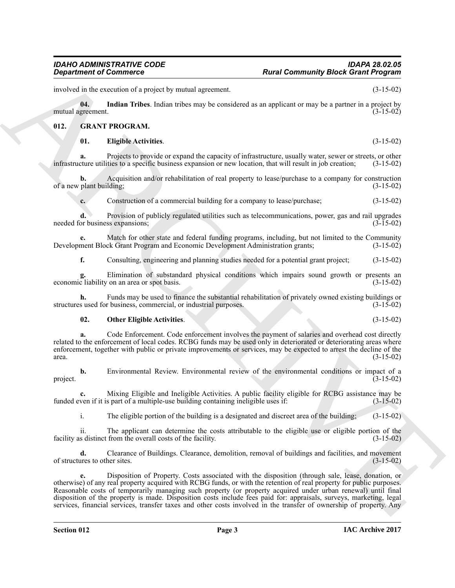involved in the execution of a project by mutual agreement. (3-15-02)

**04.** Indian Tribes. Indian tribes may be considered as an applicant or may be a partner in a project by greement. (3-15-02) mutual agreement.

#### <span id="page-2-0"></span>**012. GRANT PROGRAM.**

#### <span id="page-2-3"></span><span id="page-2-2"></span><span id="page-2-1"></span>**01. Eligible Activities**. (3-15-02)

**a.** Projects to provide or expand the capacity of infrastructure, usually water, sewer or streets, or other turn utilities to a specific business expansion or new location, that will result in job creation; (3-15-02) infrastructure utilities to a specific business expansion or new location, that will result in job creation;

**b.** Acquisition and/or rehabilitation of real property to lease/purchase to a company for construction plant building; (3-15-02) of a new plant building;

**c.** Construction of a commercial building for a company to lease/purchase; (3-15-02)

**d.** Provision of publicly regulated utilities such as telecommunications, power, gas and rail upgrades needed for business expansions; (3-15-02)

**e.** Match for other state and federal funding programs, including, but not limited to the Community ment Block Grant Program and Economic Development Administration grants: (3-15-02) Development Block Grant Program and Economic Development Administration grants;

**f.** Consulting, engineering and planning studies needed for a potential grant project; (3-15-02)

**g.** Elimination of substandard physical conditions which impairs sound growth or presents an cliability on an area or spot basis.  $(3-15-02)$ economic liability on an area or spot basis.

**h.** Funds may be used to finance the substantial rehabilitation of privately owned existing buildings or s used for business, commercial, or industrial purposes.  $(3-15-02)$ structures used for business, commercial, or industrial purposes.

#### <span id="page-2-4"></span>**02. Other Eligible Activities**. (3-15-02)

**a.** Code Enforcement. Code enforcement involves the payment of salaries and overhead cost directly related to the enforcement of local codes. RCBG funds may be used only in deteriorated or deteriorating areas where enforcement, together with public or private improvements or services, may be expected to arrest the decline of the area. (3-15-02)  $\frac{3-15-02}{2}$ 

**b.** Environmental Review. Environmental review of the environmental conditions or impact of a (3-15-02) project.  $(3-15-02)$ 

**c.** Mixing Eligible and Ineligible Activities. A public facility eligible for RCBG assistance may be funded even if it is part of a multiple-use building containing ineligible uses if: (3-15-02)

i. The eligible portion of the building is a designated and discreet area of the building; (3-15-02)

ii. The applicant can determine the costs attributable to the eligible use or eligible portion of the facility as distinct from the overall costs of the facility.

**d.** Clearance of Buildings. Clearance, demolition, removal of buildings and facilities, and movement ures to other sites. (3-15-02) of structures to other sites.

**Equivariant of Excelse the Construction 12**<br> **Registration of Excelse Construction 2**<br> **Registration The Euristics Construction 2**<br> **Registration 2**<br> **REG. CONSERVANT PROGREMATE:**<br> **REG. CONSERVANT PROGREMATE:**<br> **REG. CO e.** Disposition of Property. Costs associated with the disposition (through sale, lease, donation, or otherwise) of any real property acquired with RCBG funds, or with the retention of real property for public purposes. Reasonable costs of temporarily managing such property (or property acquired under urban renewal) until final disposition of the property is made. Disposition costs include fees paid for: appraisals, surveys, marketing, legal services, financial services, transfer taxes and other costs involved in the transfer of ownership of property. Any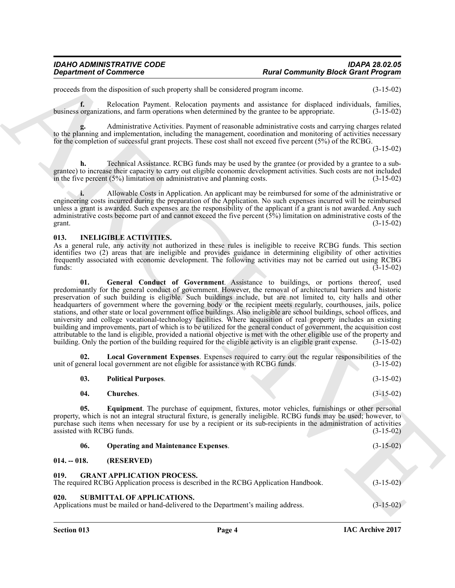## *IDAHO ADMINISTRATIVE CODE IDAPA 28.02.05*

#### <span id="page-3-12"></span><span id="page-3-11"></span><span id="page-3-10"></span><span id="page-3-9"></span><span id="page-3-8"></span><span id="page-3-7"></span><span id="page-3-6"></span><span id="page-3-5"></span><span id="page-3-4"></span><span id="page-3-3"></span><span id="page-3-2"></span><span id="page-3-1"></span><span id="page-3-0"></span>**013. INELIGIBLE ACTIVITIES.**

| <b>Department of Commerce</b>    |                                                                                    |                                                                                                                                                                                                                                                                                                                                                                                                                                                                                                                                                                                                                                                                                                                                                                                                                                                                                                                                                                                                                                                                      | <b>Rural Community Block Grant Program</b> |  |  |
|----------------------------------|------------------------------------------------------------------------------------|----------------------------------------------------------------------------------------------------------------------------------------------------------------------------------------------------------------------------------------------------------------------------------------------------------------------------------------------------------------------------------------------------------------------------------------------------------------------------------------------------------------------------------------------------------------------------------------------------------------------------------------------------------------------------------------------------------------------------------------------------------------------------------------------------------------------------------------------------------------------------------------------------------------------------------------------------------------------------------------------------------------------------------------------------------------------|--------------------------------------------|--|--|
|                                  | proceeds from the disposition of such property shall be considered program income. |                                                                                                                                                                                                                                                                                                                                                                                                                                                                                                                                                                                                                                                                                                                                                                                                                                                                                                                                                                                                                                                                      | $(3-15-02)$                                |  |  |
| f.                               |                                                                                    | Relocation Payment. Relocation payments and assistance for displaced individuals, families,<br>business organizations, and farm operations when determined by the grantee to be appropriate.                                                                                                                                                                                                                                                                                                                                                                                                                                                                                                                                                                                                                                                                                                                                                                                                                                                                         | $(3-15-02)$                                |  |  |
|                                  |                                                                                    | Administrative Activities. Payment of reasonable administrative costs and carrying charges related<br>to the planning and implementation, including the management, coordination and monitoring of activities necessary<br>for the completion of successful grant projects. These cost shall not exceed five percent (5%) of the RCBG.                                                                                                                                                                                                                                                                                                                                                                                                                                                                                                                                                                                                                                                                                                                               | $(3-15-02)$                                |  |  |
|                                  |                                                                                    |                                                                                                                                                                                                                                                                                                                                                                                                                                                                                                                                                                                                                                                                                                                                                                                                                                                                                                                                                                                                                                                                      |                                            |  |  |
| h.                               | in the five percent $(5%)$ limitation on administrative and planning costs.        | Technical Assistance. RCBG funds may be used by the grantee (or provided by a grantee to a sub-<br>grantee) to increase their capacity to carry out eligible economic development activities. Such costs are not included                                                                                                                                                                                                                                                                                                                                                                                                                                                                                                                                                                                                                                                                                                                                                                                                                                            | $(3-15-02)$                                |  |  |
| grant.                           |                                                                                    | Allowable Costs in Application. An applicant may be reimbursed for some of the administrative or<br>engineering costs incurred during the preparation of the Application. No such expenses incurred will be reimbursed<br>unless a grant is awarded. Such expenses are the responsibility of the applicant if a grant is not awarded. Any such<br>administrative costs become part of and cannot exceed the five percent $(5\%)$ limitation on administrative costs of the                                                                                                                                                                                                                                                                                                                                                                                                                                                                                                                                                                                           | $(3-15-02)$                                |  |  |
| 013.                             | <b>INELIGIBLE ACTIVITIES.</b>                                                      |                                                                                                                                                                                                                                                                                                                                                                                                                                                                                                                                                                                                                                                                                                                                                                                                                                                                                                                                                                                                                                                                      |                                            |  |  |
| funds:                           |                                                                                    | As a general rule, any activity not authorized in these rules is ineligible to receive RCBG funds. This section<br>identifies two (2) areas that are ineligible and provides guidance in determining eligibility of other activities<br>frequently associated with economic development. The following activities may not be carried out using RCBG                                                                                                                                                                                                                                                                                                                                                                                                                                                                                                                                                                                                                                                                                                                  | $(3-15-02)$                                |  |  |
| 01.                              |                                                                                    | General Conduct of Government. Assistance to buildings, or portions thereof, used<br>predominantly for the general conduct of government. However, the removal of architectural barriers and historic<br>preservation of such building is eligible. Such buildings include, but are not limited to, city halls and other<br>headquarters of government where the governing body or the recipient meets regularly, courthouses, jails, police<br>stations, and other state or local government office buildings. Also ineligible are school buildings, school offices, and<br>university and college vocational-technology facilities. Where acquisition of real property includes an existing<br>building and improvements, part of which is to be utilized for the general conduct of government, the acquisition cost<br>attributable to the land is eligible, provided a national objective is met with the other eligible use of the property and<br>building. Only the portion of the building required for the eligible activity is an eligible grant expense. | $(3-15-02)$                                |  |  |
| 02.                              | unit of general local government are not eligible for assistance with RCBG funds.  | Local Government Expenses. Expenses required to carry out the regular responsibilities of the                                                                                                                                                                                                                                                                                                                                                                                                                                                                                                                                                                                                                                                                                                                                                                                                                                                                                                                                                                        | $(3-15-02)$                                |  |  |
| 03.                              | <b>Political Purposes.</b>                                                         |                                                                                                                                                                                                                                                                                                                                                                                                                                                                                                                                                                                                                                                                                                                                                                                                                                                                                                                                                                                                                                                                      | $(3-15-02)$                                |  |  |
| 04.                              | Churches.                                                                          |                                                                                                                                                                                                                                                                                                                                                                                                                                                                                                                                                                                                                                                                                                                                                                                                                                                                                                                                                                                                                                                                      | $(3-15-02)$                                |  |  |
| 05.<br>assisted with RCBG funds. |                                                                                    | Equipment. The purchase of equipment, fixtures, motor vehicles, furnishings or other personal<br>property, which is not an integral structural fixture, is generally ineligible. RCBG funds may be used; however, to<br>purchase such items when necessary for use by a recipient or its sub-recipients in the administration of activities                                                                                                                                                                                                                                                                                                                                                                                                                                                                                                                                                                                                                                                                                                                          | $(3-15-02)$                                |  |  |
| 06.                              | <b>Operating and Maintenance Expenses.</b>                                         |                                                                                                                                                                                                                                                                                                                                                                                                                                                                                                                                                                                                                                                                                                                                                                                                                                                                                                                                                                                                                                                                      | $(3-15-02)$                                |  |  |
| $014. - 018.$                    | (RESERVED)                                                                         |                                                                                                                                                                                                                                                                                                                                                                                                                                                                                                                                                                                                                                                                                                                                                                                                                                                                                                                                                                                                                                                                      |                                            |  |  |
| 019.                             | <b>GRANT APPLICATION PROCESS.</b>                                                  | The required RCBG Application process is described in the RCBG Application Handbook.                                                                                                                                                                                                                                                                                                                                                                                                                                                                                                                                                                                                                                                                                                                                                                                                                                                                                                                                                                                 | $(3-15-02)$                                |  |  |
|                                  | SUBMITTAL OF APPLICATIONS.                                                         |                                                                                                                                                                                                                                                                                                                                                                                                                                                                                                                                                                                                                                                                                                                                                                                                                                                                                                                                                                                                                                                                      |                                            |  |  |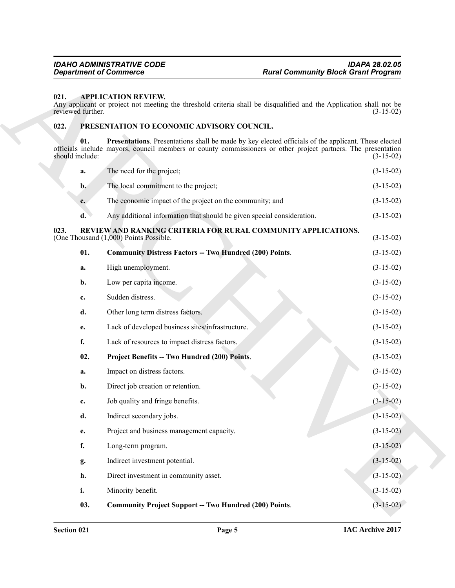#### <span id="page-4-3"></span><span id="page-4-0"></span>**021. APPLICATION REVIEW.**

#### <span id="page-4-9"></span><span id="page-4-8"></span><span id="page-4-7"></span><span id="page-4-6"></span><span id="page-4-5"></span><span id="page-4-4"></span><span id="page-4-2"></span><span id="page-4-1"></span>**022. PRESENTATION TO ECONOMIC ADVISORY COUNCIL.**

| <b>Department of Commerce</b> |                                            |                                                                        | <b>Rural Community Block Grant Program</b>                                                                                                                                                                           |             |  |
|-------------------------------|--------------------------------------------|------------------------------------------------------------------------|----------------------------------------------------------------------------------------------------------------------------------------------------------------------------------------------------------------------|-------------|--|
| 021.<br>reviewed further.     |                                            | <b>APPLICATION REVIEW.</b>                                             | Any applicant or project not meeting the threshold criteria shall be disqualified and the Application shall not be                                                                                                   | $(3-15-02)$ |  |
| 022.                          | PRESENTATION TO ECONOMIC ADVISORY COUNCIL. |                                                                        |                                                                                                                                                                                                                      |             |  |
| should include:               | 01.                                        |                                                                        | Presentations. Presentations shall be made by key elected officials of the applicant. These elected<br>officials include mayors, council members or county commissioners or other project partners. The presentation | $(3-15-02)$ |  |
|                               | a.                                         | The need for the project;                                              |                                                                                                                                                                                                                      | $(3-15-02)$ |  |
|                               | $\mathbf{b}$ .                             | The local commitment to the project;                                   |                                                                                                                                                                                                                      | $(3-15-02)$ |  |
|                               | $c_{\cdot}$                                | The economic impact of the project on the community; and               |                                                                                                                                                                                                                      | $(3-15-02)$ |  |
|                               | $\mathbf{d}$ .                             | Any additional information that should be given special consideration. |                                                                                                                                                                                                                      | $(3-15-02)$ |  |
| 023.                          |                                            | (One Thousand (1,000) Points Possible.                                 | REVIEW AND RANKING CRITERIA FOR RURAL COMMUNITY APPLICATIONS.                                                                                                                                                        | $(3-15-02)$ |  |
|                               | 01.                                        | <b>Community Distress Factors -- Two Hundred (200) Points.</b>         |                                                                                                                                                                                                                      | $(3-15-02)$ |  |
|                               | a.                                         | High unemployment.                                                     |                                                                                                                                                                                                                      | $(3-15-02)$ |  |
|                               | b.                                         | Low per capita income.                                                 |                                                                                                                                                                                                                      | $(3-15-02)$ |  |
|                               | c.                                         | Sudden distress.                                                       |                                                                                                                                                                                                                      | $(3-15-02)$ |  |
|                               | d.                                         | Other long term distress factors.                                      |                                                                                                                                                                                                                      | $(3-15-02)$ |  |
|                               | e.                                         | Lack of developed business sites/infrastructure.                       |                                                                                                                                                                                                                      | $(3-15-02)$ |  |
|                               | f.                                         | Lack of resources to impact distress factors.                          |                                                                                                                                                                                                                      | $(3-15-02)$ |  |
|                               | 02.                                        | Project Benefits -- Two Hundred (200) Points.                          |                                                                                                                                                                                                                      | $(3-15-02)$ |  |
|                               | a.                                         | Impact on distress factors.                                            |                                                                                                                                                                                                                      | $(3-15-02)$ |  |
|                               | b.                                         | Direct job creation or retention.                                      |                                                                                                                                                                                                                      | $(3-15-02)$ |  |
|                               | c.                                         | Job quality and fringe benefits.                                       |                                                                                                                                                                                                                      | $(3-15-02)$ |  |
|                               | d.                                         | Indirect secondary jobs.                                               |                                                                                                                                                                                                                      | $(3-15-02)$ |  |
|                               | e.                                         | Project and business management capacity.                              |                                                                                                                                                                                                                      | $(3-15-02)$ |  |
|                               | f.                                         | Long-term program.                                                     |                                                                                                                                                                                                                      | $(3-15-02)$ |  |
|                               | g.                                         | Indirect investment potential.                                         |                                                                                                                                                                                                                      | $(3-15-02)$ |  |
|                               | h.                                         | Direct investment in community asset.                                  |                                                                                                                                                                                                                      | $(3-15-02)$ |  |
|                               | i.                                         | Minority benefit.                                                      |                                                                                                                                                                                                                      | $(3-15-02)$ |  |
|                               | 03.                                        | <b>Community Project Support -- Two Hundred (200) Points.</b>          |                                                                                                                                                                                                                      | $(3-15-02)$ |  |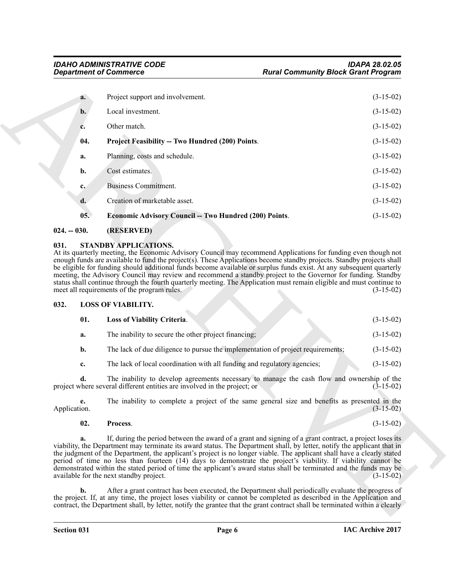|                      | <b>Department of Commerce</b>                                                                                                                                                                                                                                                                                                                                                                                                                                                                                                                                                                                                                                                                                                                           | <b>Rural Community Block Grant Program</b> |  |  |
|----------------------|---------------------------------------------------------------------------------------------------------------------------------------------------------------------------------------------------------------------------------------------------------------------------------------------------------------------------------------------------------------------------------------------------------------------------------------------------------------------------------------------------------------------------------------------------------------------------------------------------------------------------------------------------------------------------------------------------------------------------------------------------------|--------------------------------------------|--|--|
| a.                   | Project support and involvement.                                                                                                                                                                                                                                                                                                                                                                                                                                                                                                                                                                                                                                                                                                                        | $(3-15-02)$                                |  |  |
| b.                   | Local investment.                                                                                                                                                                                                                                                                                                                                                                                                                                                                                                                                                                                                                                                                                                                                       | $(3-15-02)$                                |  |  |
| c.                   | Other match.                                                                                                                                                                                                                                                                                                                                                                                                                                                                                                                                                                                                                                                                                                                                            | $(3-15-02)$                                |  |  |
| 04.                  | Project Feasibility -- Two Hundred (200) Points.                                                                                                                                                                                                                                                                                                                                                                                                                                                                                                                                                                                                                                                                                                        | $(3-15-02)$                                |  |  |
| a.                   | Planning, costs and schedule.                                                                                                                                                                                                                                                                                                                                                                                                                                                                                                                                                                                                                                                                                                                           | $(3-15-02)$                                |  |  |
| b.                   | Cost estimates.                                                                                                                                                                                                                                                                                                                                                                                                                                                                                                                                                                                                                                                                                                                                         | $(3-15-02)$                                |  |  |
| $c_{\cdot}$          | <b>Business Commitment.</b>                                                                                                                                                                                                                                                                                                                                                                                                                                                                                                                                                                                                                                                                                                                             | $(3-15-02)$                                |  |  |
| d.                   | Creation of marketable asset.                                                                                                                                                                                                                                                                                                                                                                                                                                                                                                                                                                                                                                                                                                                           | $(3-15-02)$                                |  |  |
| 05.                  | <b>Economic Advisory Council -- Two Hundred (200) Points.</b>                                                                                                                                                                                                                                                                                                                                                                                                                                                                                                                                                                                                                                                                                           | $(3-15-02)$                                |  |  |
| $024. - 030.$        | (RESERVED)                                                                                                                                                                                                                                                                                                                                                                                                                                                                                                                                                                                                                                                                                                                                              |                                            |  |  |
| 032.                 | be eligible for funding should additional funds become available or surplus funds exist. At any subsequent quarterly<br>meeting, the Advisory Council may review and recommend a standby project to the Governor for funding. Standby<br>status shall continue through the fourth quarterly meeting. The Application must remain eligible and must continue to<br>meet all requirements of the program rules.<br><b>LOSS OF VIABILITY.</b>                                                                                                                                                                                                                                                                                                              | $(3-15-02)$                                |  |  |
| 01.                  | Loss of Viability Criteria.                                                                                                                                                                                                                                                                                                                                                                                                                                                                                                                                                                                                                                                                                                                             | $(3-15-02)$                                |  |  |
| a.                   | The inability to secure the other project financing;                                                                                                                                                                                                                                                                                                                                                                                                                                                                                                                                                                                                                                                                                                    | $(3-15-02)$                                |  |  |
| $\mathbf{b}$ .       | The lack of due diligence to pursue the implementation of project requirements;                                                                                                                                                                                                                                                                                                                                                                                                                                                                                                                                                                                                                                                                         | $(3-15-02)$                                |  |  |
|                      |                                                                                                                                                                                                                                                                                                                                                                                                                                                                                                                                                                                                                                                                                                                                                         |                                            |  |  |
| c.                   | The lack of local coordination with all funding and regulatory agencies;                                                                                                                                                                                                                                                                                                                                                                                                                                                                                                                                                                                                                                                                                | $(3-15-02)$                                |  |  |
| d.                   | The inability to develop agreements necessary to manage the cash flow and ownership of the<br>project where several different entities are involved in the project; or                                                                                                                                                                                                                                                                                                                                                                                                                                                                                                                                                                                  | $(3-15-02)$                                |  |  |
| е.<br>Application.   | The inability to complete a project of the same general size and benefits as presented in the                                                                                                                                                                                                                                                                                                                                                                                                                                                                                                                                                                                                                                                           | $(3-15-02)$                                |  |  |
| 02.                  | Process.                                                                                                                                                                                                                                                                                                                                                                                                                                                                                                                                                                                                                                                                                                                                                | $(3-15-02)$                                |  |  |
| a.<br>$\mathbf{b}$ . | If, during the period between the award of a grant and signing of a grant contract, a project loses its<br>viability, the Department may terminate its award status. The Department shall, by letter, notify the applicant that in<br>the judgment of the Department, the applicant's project is no longer viable. The applicant shall have a clearly stated<br>period of time no less than fourteen (14) days to demonstrate the project's viability. If viability cannot be<br>demonstrated within the stated period of time the applicant's award status shall be terminated and the funds may be<br>available for the next standby project.<br>After a grant contract has been executed, the Department shall periodically evaluate the progress of | $(3-15-02)$                                |  |  |

#### <span id="page-5-7"></span><span id="page-5-6"></span><span id="page-5-0"></span>**024. -- 030. (RESERVED)**

#### <span id="page-5-8"></span><span id="page-5-1"></span>**031. STANDBY APPLICATIONS.**

#### <span id="page-5-2"></span>**032. LOSS OF VIABILITY.**

<span id="page-5-4"></span><span id="page-5-3"></span>

| 01. | <b>Loss of Viability Criteria.</b>                   |  | $(3-15-02)$ |
|-----|------------------------------------------------------|--|-------------|
|     | The inability to secure the other project financing; |  | $(3-15-02)$ |

#### <span id="page-5-5"></span>**02. Process**. (3-15-02)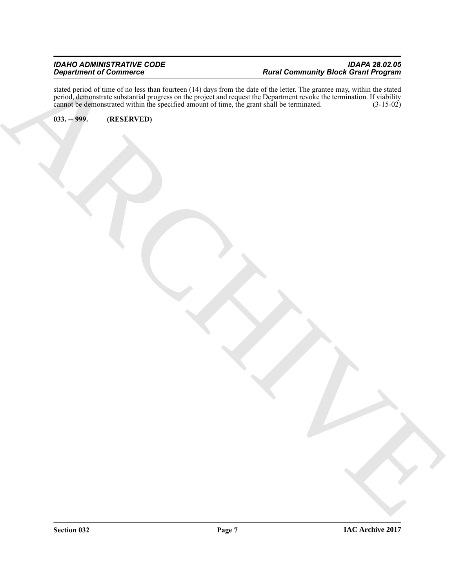Equipment of Communication (11.045) box at contact of Community Back Communication Communication of Communication Communication (11.045)<br>
ARCHIVES ON THE SERVER DESCRIPTION OF COMMUNICATION (11.045)<br>
ARCHIVES ON THE SERVER stated period of time of no less than fourteen (14) days from the date of the letter. The grantee may, within the stated period, demonstrate substantial progress on the project and request the Department revoke the termination. If viability cannot be demonstrated within the specified amount of time, the grant shall be terminated. (3-15-02)

<span id="page-6-0"></span>**033. -- 999. (RESERVED)**